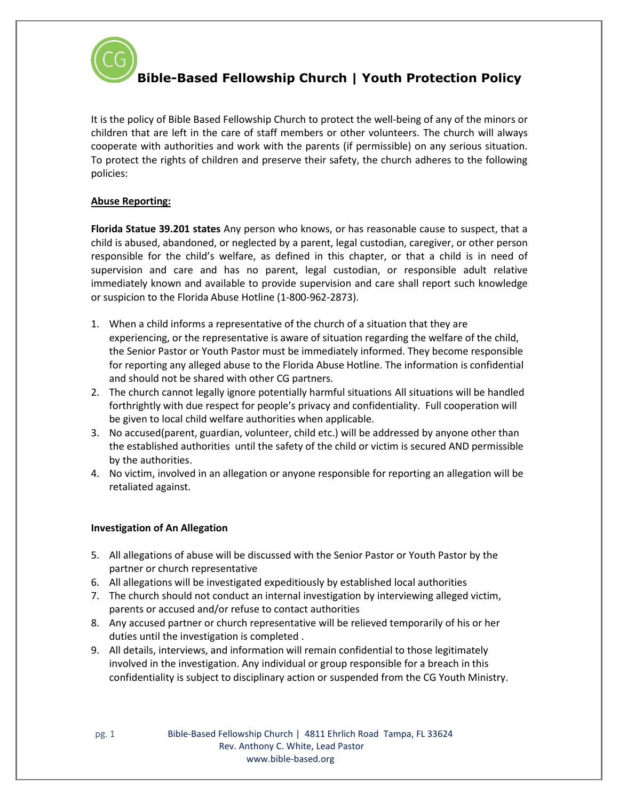

It is the policy of Bible Based Fellowship Church to protect the well-being of any of the minors or children that are left in the care of staff members or other volunteers. The church will always cooperate with authorities and work with the parents (if permissible) on any serious situation. To protect the rights of children and preserve their safety, the church adheres to the following policies:

#### **Abuse Reporting:**

**Florida Statue 39.201 states** Any person who knows, or has reasonable cause to suspect, that a child is abused, abandoned, or neglected by a parent, legal custodian, caregiver, or other person responsible for the child's welfare, as defined in this chapter, or that a child is in need of supervision and care and has no parent, legal custodian, or responsible adult relative immediately known and available to provide supervision and care shall report such knowledge or suspicion to the Florida Abuse Hotline (1-800-962-2873).

- 1. When a child informs a representative of the church of a situation that they are experiencing, or the representative is aware of situation regarding the welfare of the child, the Senior Pastor or Youth Pastor must be immediately informed. They become responsible for reporting any alleged abuse to the Florida Abuse Hotline. The information is confidential and should not be shared with other CG partners.
- 2. The church cannot legally ignore potentially harmful situations All situations will be handled forthrightly with due respect for people's privacy and confidentiality. Full cooperation will be given to local child welfare authorities when applicable.
- 3. No accused(parent, guardian, volunteer, child etc.) will be addressed by anyone other than the established authorities until the safety of the child or victim is secured AND permissible by the authorities.
- 4. No victim, involved in an allegation or anyone responsible for reporting an allegation will be retaliated against.

#### **Investigation of An Allegation**

- 5. All allegations of abuse will be discussed with the Senior Pastor or Youth Pastor by the partner or church representative
- 6. All allegations will be investigated expeditiously by established local authorities
- 7. The church should not conduct an internal investigation by interviewing alleged victim, parents or accused and/or refuse to contact authorities
- 8. Any accused partner or church representative will be relieved temporarily of his or her duties until the investigation is completed .
- 9. All details, interviews, and information will remain confidential to those legitimately involved in the investigation. Any individual or group responsible for a breach in this confidentiality is subject to disciplinary action or suspended from the CG Youth Ministry.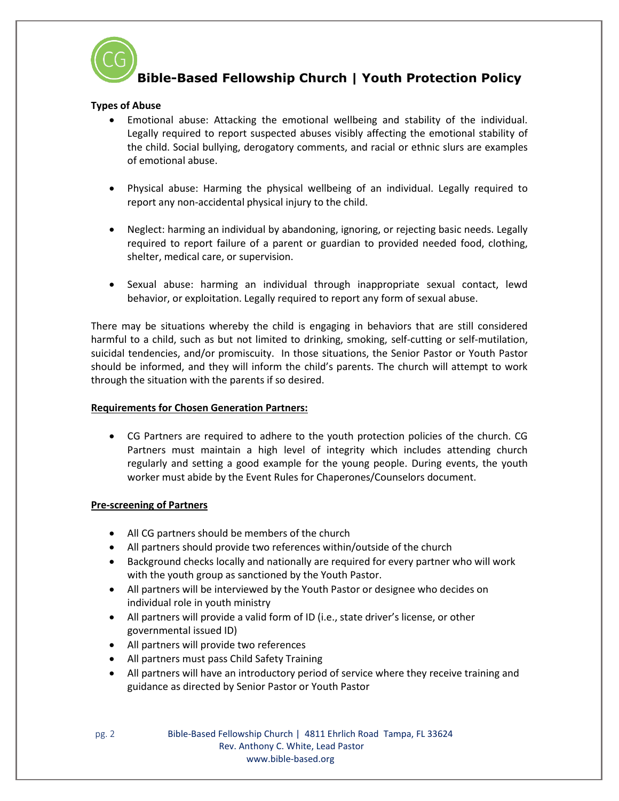

# **Types of Abuse**

- Emotional abuse: Attacking the emotional wellbeing and stability of the individual. Legally required to report suspected abuses visibly affecting the emotional stability of the child. Social bullying, derogatory comments, and racial or ethnic slurs are examples of emotional abuse.
- Physical abuse: Harming the physical wellbeing of an individual. Legally required to report any non-accidental physical injury to the child.
- Neglect: harming an individual by abandoning, ignoring, or rejecting basic needs. Legally required to report failure of a parent or guardian to provided needed food, clothing, shelter, medical care, or supervision.
- Sexual abuse: harming an individual through inappropriate sexual contact, lewd behavior, or exploitation. Legally required to report any form of sexual abuse.

There may be situations whereby the child is engaging in behaviors that are still considered harmful to a child, such as but not limited to drinking, smoking, self-cutting or self-mutilation, suicidal tendencies, and/or promiscuity. In those situations, the Senior Pastor or Youth Pastor should be informed, and they will inform the child's parents. The church will attempt to work through the situation with the parents if so desired.

# **Requirements for Chosen Generation Partners:**

• CG Partners are required to adhere to the youth protection policies of the church. CG Partners must maintain a high level of integrity which includes attending church regularly and setting a good example for the young people. During events, the youth worker must abide by the Event Rules for Chaperones/Counselors document.

# **Pre-screening of Partners**

- All CG partners should be members of the church
- All partners should provide two references within/outside of the church
- Background checks locally and nationally are required for every partner who will work with the youth group as sanctioned by the Youth Pastor.
- All partners will be interviewed by the Youth Pastor or designee who decides on individual role in youth ministry
- All partners will provide a valid form of ID (i.e., state driver's license, or other governmental issued ID)
- All partners will provide two references
- All partners must pass Child Safety Training
- All partners will have an introductory period of service where they receive training and guidance as directed by Senior Pastor or Youth Pastor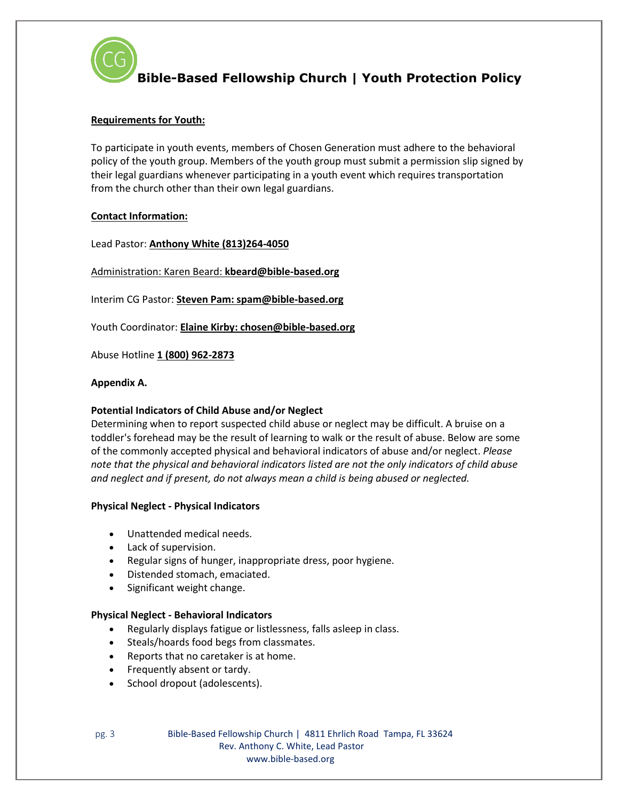

# **Requirements for Youth:**

To participate in youth events, members of Chosen Generation must adhere to the behavioral policy of the youth group. Members of the youth group must submit a permission slip signed by their legal guardians whenever participating in a youth event which requires transportation from the church other than their own legal guardians.

#### **Contact Information:**

Lead Pastor: **Anthony White (813)264-4050**

Administration: Karen Beard: **kbeard@bible-based.org**

Interim CG Pastor: **Steven Pam: spam@bible-based.org**

Youth Coordinator: **Elaine Kirby: chosen@bible-based.org**

Abuse Hotline **1 (800) 962-2873**

#### **Appendix A.**

#### **Potential Indicators of Child Abuse and/or Neglect**

Determining when to report suspected child abuse or neglect may be difficult. A bruise on a toddler's forehead may be the result of learning to walk or the result of abuse. Below are some of the commonly accepted physical and behavioral indicators of abuse and/or neglect. *Please note that the physical and behavioral indicators listed are not the only indicators of child abuse and neglect and if present, do not always mean a child is being abused or neglected.*

# **Physical Neglect - Physical Indicators**

- Unattended medical needs.
- Lack of supervision.
- Regular signs of hunger, inappropriate dress, poor hygiene.
- Distended stomach, emaciated.
- Significant weight change.

#### **Physical Neglect - Behavioral Indicators**

- Regularly displays fatigue or listlessness, falls asleep in class.
- Steals/hoards food begs from classmates.
- Reports that no caretaker is at home.
- Frequently absent or tardy.
- School dropout (adolescents).

pg. 3 Bible-Based Fellowship Church | 4811 Ehrlich Road Tampa, FL 33624 Rev. Anthony C. White, Lead Pastor www.bible-based.org